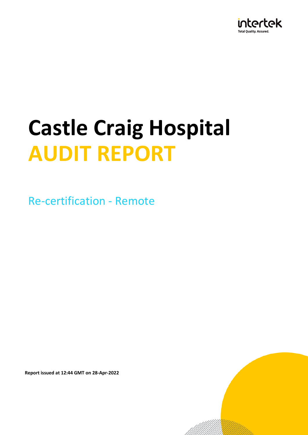

Re-certification - Remote

**Report issued at 12:44 GMT on 28-Apr-2022**

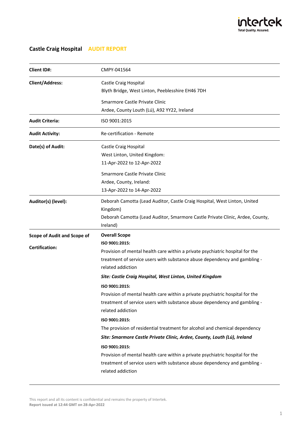

| <b>Client ID#:</b>                 | CMPY-041564                                                                                                                                                                                                                                                                   |  |
|------------------------------------|-------------------------------------------------------------------------------------------------------------------------------------------------------------------------------------------------------------------------------------------------------------------------------|--|
| <b>Client/Address:</b>             | Castle Craig Hospital<br>Blyth Bridge, West Linton, Peeblesshire EH46 7DH                                                                                                                                                                                                     |  |
|                                    | Smarmore Castle Private Clinic<br>Ardee, County Louth (Lú), A92 YY22, Ireland                                                                                                                                                                                                 |  |
| <b>Audit Criteria:</b>             | ISO 9001:2015                                                                                                                                                                                                                                                                 |  |
| <b>Audit Activity:</b>             | Re-certification - Remote                                                                                                                                                                                                                                                     |  |
| Date(s) of Audit:                  | Castle Craig Hospital<br>West Linton, United Kingdom:<br>11-Apr-2022 to 12-Apr-2022                                                                                                                                                                                           |  |
|                                    | Smarmore Castle Private Clinic<br>Ardee, County, Ireland:<br>13-Apr-2022 to 14-Apr-2022                                                                                                                                                                                       |  |
| Auditor(s) (level):                | Deborah Camotta (Lead Auditor, Castle Craig Hospital, West Linton, United<br>Kingdom)<br>Deborah Camotta (Lead Auditor, Smarmore Castle Private Clinic, Ardee, County,<br>Ireland)                                                                                            |  |
| <b>Scope of Audit and Scope of</b> | <b>Overall Scope</b>                                                                                                                                                                                                                                                          |  |
| <b>Certification:</b>              | ISO 9001:2015:<br>Provision of mental health care within a private psychiatric hospital for the<br>treatment of service users with substance abuse dependency and gambling -<br>related addiction                                                                             |  |
|                                    | Site: Castle Craig Hospital, West Linton, United Kingdom                                                                                                                                                                                                                      |  |
|                                    | ISO 9001:2015:<br>Provision of mental health care within a private psychiatric hospital for the<br>treatment of service users with substance abuse dependency and gambling -<br>related addiction                                                                             |  |
|                                    | ISO 9001:2015:<br>The provision of residential treatment for alcohol and chemical dependency                                                                                                                                                                                  |  |
|                                    | Site: Smarmore Castle Private Clinic, Ardee, County, Louth (Lú), Ireland<br>ISO 9001:2015:<br>Provision of mental health care within a private psychiatric hospital for the<br>treatment of service users with substance abuse dependency and gambling -<br>related addiction |  |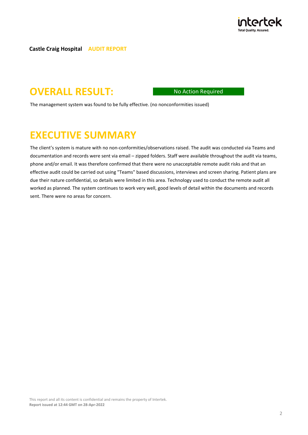

# **OVERALL RESULT:** No Action Required

The management system was found to be fully effective. (no nonconformities issued)

# **EXECUTIVE SUMMARY**

The client's system is mature with no non-conformities/observations raised. The audit was conducted via Teams and documentation and records were sent via email – zipped folders. Staff were available throughout the audit via teams, phone and/or email. It was therefore confirmed that there were no unacceptable remote audit risks and that an effective audit could be carried out using "Teams" based discussions, interviews and screen sharing. Patient plans are due their nature confidential, so details were limited in this area. Technology used to conduct the remote audit all worked as planned. The system continues to work very well, good levels of detail within the documents and records sent. There were no areas for concern.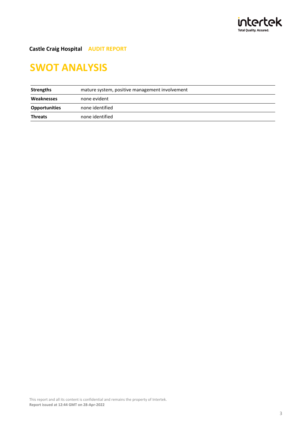

# **SWOT ANALYSIS**

| Strengths            | mature system, positive management involvement |  |
|----------------------|------------------------------------------------|--|
| Weaknesses           | none evident                                   |  |
| <b>Opportunities</b> | none identified                                |  |
| <b>Threats</b>       | none identified                                |  |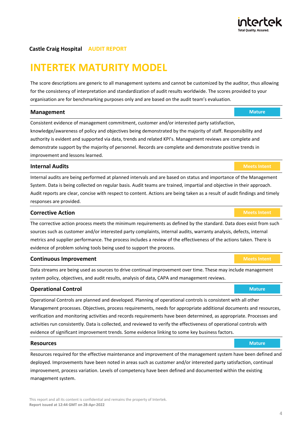# **INTERTEK MATURITY MODEL**

The score descriptions are generic to all management systems and cannot be customized by the auditor, thus allowing for the consistency of interpretation and standardization of audit results worldwide. The scores provided to your organisation are for benchmarking purposes only and are based on the audit team's evaluation.

#### **Management Management** *Mature*

Consistent evidence of management commitment, customer and/or interested party satisfaction, knowledge/awareness of policy and objectives being demonstrated by the majority of staff. Responsibility and authority is evident and supported via data, trends and related KPI's. Management reviews are complete and demonstrate support by the majority of personnel. Records are complete and demonstrate positive trends in improvement and lessons learned.

#### **Internal Audits Meets Intentional Audits** *Meets Intentional Audits* **<b>***Meets Intent*

Internal audits are being performed at planned intervals and are based on status and importance of the Management System. Data is being collected on regular basis. Audit teams are trained, impartial and objective in their approach. Audit reports are clear, concise with respect to content. Actions are being taken as a result of audit findings and timely responses are provided.

#### **Corrective Action** *Meets Intention* **<b>***Meets Intention*

The corrective action process meets the minimum requirements as defined by the standard. Data does exist from such sources such as customer and/or interested party complaints, internal audits, warranty analysis, defects, internal metrics and supplier performance. The process includes a review of the effectiveness of the actions taken. There is evidence of problem solving tools being used to support the process.

#### **Continuous Improvement** *Meets Intentional According Continuous Improvement* **<b>***Meets Intentional According Continuous Improvement*

Data streams are being used as sources to drive continual improvement over time. These may include management system policy, objectives, and audit results, analysis of data, CAPA and management reviews.

#### **Operational Control Mature** *Mature Mature Mature Mature*

Operational Controls are planned and developed. Planning of operational controls is consistent with all other Management processes. Objectives, process requirements, needs for appropriate additional documents and resources, verification and monitoring activities and records requirements have been determined, as appropriate. Processes and activities run consistently. Data is collected, and reviewed to verify the effectiveness of operational controls with evidence of significant improvement trends. Some evidence linking to some key business factors.

#### **Resources Mature**

Resources required for the effective maintenance and improvement of the management system have been defined and deployed. Improvements have been noted in areas such as customer and/or interested party satisfaction, continual improvement, process variation. Levels of competency have been defined and documented within the existing management system.



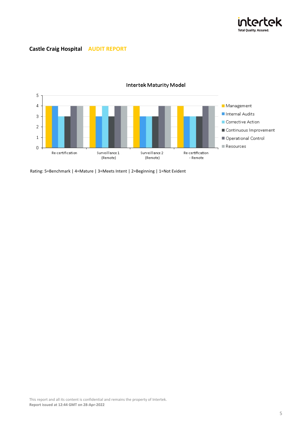



### **Intertek Maturity Model**

Rating: 5=Benchmark | 4=Mature | 3=Meets Intent | 2=Beginning | 1=Not Evident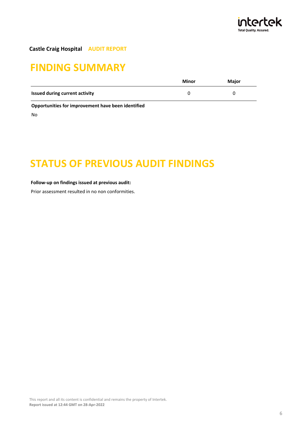

# **FINDING SUMMARY**

|                                | Minor | Major |
|--------------------------------|-------|-------|
| Issued during current activity |       |       |
|                                |       |       |

**Opportunities for improvement have been identified**

No

# **STATUS OF PREVIOUS AUDIT FINDINGS**

#### **Follow-up on findings issued at previous audit:**

Prior assessment resulted in no non conformities.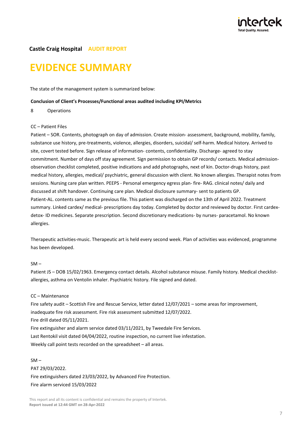

# **EVIDENCE SUMMARY**

The state of the management system is summarized below:

#### **Conclusion of Client's Processes/Functional areas audited including KPI/Metrics**

8 Operations

#### CC – Patient Files

Patient – SOR. Contents, photograph on day of admission. Create mission- assessment, background, mobility, family, substance use history, pre-treatments, violence, allergies, disorders, suicidal/ self-harm. Medical history. Arrived to site, covert tested before. Sign release of information- contents, confidentiality. Discharge- agreed to stay commitment. Number of days off stay agreement. Sign permission to obtain GP records/ contacts. Medical admissionobservation checklist completed, positive indications and add photographs, next of kin. Doctor-drugs history, past medical history, allergies, medical/ psychiatric, general discussion with client. No known allergies. Therapist notes from sessions. Nursing care plan written. PEEPS - Personal emergency egress plan- fire- RAG. clinical notes/ daily and discussed at shift handover. Continuing care plan. Medical disclosure summary- sent to patients GP. Patient-AL. contents same as the previous file. This patient was discharged on the 13th of April 2022. Treatment summary. Linked cardex/ medical- prescriptions day today. Completed by doctor and reviewed by doctor. First cardexdetox- ID medicines. Separate prescription. Second discretionary medications- by nurses- paracetamol. No known allergies.

Therapeutic activities-music. Therapeutic art is held every second week. Plan of activities was evidenced, programme has been developed.

#### $SM -$

Patient JS – DOB 15/02/1963. Emergency contact details. Alcohol substance misuse. Family history. Medical checklistallergies, asthma on Ventolin inhaler. Psychiatric history. File signed and dated.

#### CC – Maintenance

Fire safety audit – Scottish Fire and Rescue Service, letter dated 12/07/2021 – some areas for improvement, inadequate fire risk assessment. Fire risk assessment submitted 12/07/2022. Fire drill dated 05/11/2021.

Fire extinguisher and alarm service dated 03/11/2021, by Tweedale Fire Services. Last Rentokil visit dated 04/04/2022, routine inspection, no current live infestation. Weekly call point tests recorded on the spreadsheet – all areas.

#### $SML$

PAT 29/03/2022. Fire extinguishers dated 23/03/2022, by Advanced Fire Protection. Fire alarm serviced 15/03/2022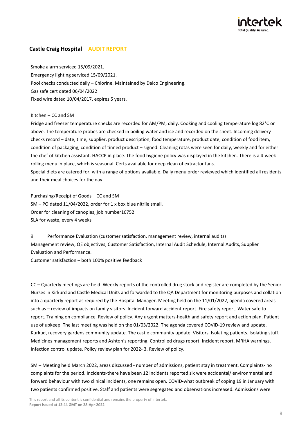

Smoke alarm serviced 15/09/2021. Emergency lighting serviced 15/09/2021. Pool checks conducted daily – Chlorine. Maintained by Dalco Engineering. Gas safe cert dated 06/04/2022 Fixed wire dated 10/04/2017, expires 5 years.

#### Kitchen – CC and SM

Fridge and freezer temperature checks are recorded for AM/PM, daily. Cooking and cooling temperature log 82°C or above. The temperature probes are checked in boiling water and ice and recorded on the sheet. Incoming delivery checks record – date, time, supplier, product description, food temperature, product date, condition of food item, condition of packaging, condition of tinned product – signed. Cleaning rotas were seen for daily, weekly and for either the chef of kitchen assistant. HACCP in place. The food hygiene policy was displayed in the kitchen. There is a 4-week rolling menu in place, which is seasonal. Certs available for deep clean of extractor fans. Special diets are catered for, with a range of options available. Daily menu order reviewed which identified all residents and their meal choices for the day.

Purchasing/Receipt of Goods – CC and SM SM – PO dated 11/04/2022, order for 1 x box blue nitrile small. Order for cleaning of canopies, job number16752. SLA for waste, every 4 weeks

9 Performance Evaluation (customer satisfaction, management review, internal audits) Management review, QE objectives, Customer Satisfaction, Internal Audit Schedule, Internal Audits, Supplier Evaluation and Performance.

Customer satisfaction – both 100% positive feedback

CC – Quarterly meetings are held. Weekly reports of the controlled drug stock and register are completed by the Senior Nurses in Kirkurd and Castle Medical Units and forwarded to the QA Department for monitoring purposes and collation into a quarterly report as required by the Hospital Manager. Meeting held on the 11/01/2022, agenda covered areas such as – review of impacts on family visitors. Incident forward accident report. Fire safety report. Water safe to report. Training on compliance. Review of policy. Any urgent matters-health and safety report and action plan. Patient use of upkeep. The last meeting was held on the 01/03/2022. The agenda covered COVID-19 review and update. Kurkud, recovery gardens community update. The castle community update. Visitors. Isolating patients. Isolating stuff. Medicines management reports and Ashton's reporting. Controlled drugs report. Incident report. MRHA warnings. Infection control update. Policy review plan for 2022- 3. Review of policy.

SM – Meeting held March 2022, areas discussed - number of admissions, patient stay in treatment. Complaints- no complaints for the period. Incidents-there have been 12 incidents reported six were accidental/ environmental and forward behaviour with two clinical incidents, one remains open. COVID-what outbreak of coping 19 in January with two patients confirmed positive. Staff and patients were segregated and observations increased. Admissions were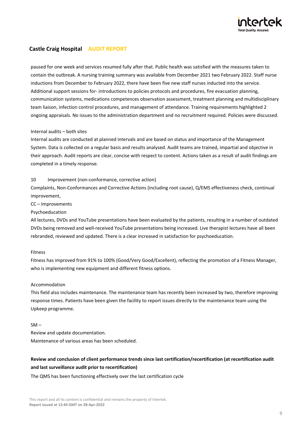

paused for one week and services resumed fully after that. Public health was satisfied with the measures taken to contain the outbreak. A nursing training summary was available from December 2021 two February 2022. Staff nurse inductions from December to February 2022, there have been five new staff nurses inducted into the service. Additional support sessions for- introductions to policies protocols and procedures, fire evacuation planning, communication systems, medications competences observation assessment, treatment planning and multidisciplinary team liaison, infection control procedures, and management of attendance. Training requirements highlighted 2 ongoing appraisals. No issues to the administration department and no recruitment required. Policies were discussed.

#### Internal audits – both sites

Internal audits are conducted at planned intervals and are based on status and importance of the Management System. Data is collected on a regular basis and results analysed. Audit teams are trained, impartial and objective in their approach. Audit reports are clear, concise with respect to content. Actions taken as a result of audit findings are completed in a timely response.

#### 10 Improvement (non-conformance, corrective action)

Complaints, Non-Conformances and Corrective Actions (including root cause), Q/EMS effectiveness check, continual improvement,

CC – Improvements

Psychoeducation

All lectures, DVDs and YouTube presentations have been evaluated by the patients, resulting in a number of outdated DVDs being removed and well-received YouTube presentations being increased. Live therapist lectures have all been rebranded, reviewed and updated. There is a clear increased in satisfaction for psychoeducation.

#### Fitness

Fitness has improved from 91% to 100% (Good/Very Good/Excellent), reflecting the promotion of a Fitness Manager, who is implementing new equipment and different fitness options.

#### Accommodation

This field also includes maintenance. The maintenance team has recently been increased by two, therefore improving response times. Patients have been given the facility to report issues directly to the maintenance team using the Upkeep programme.

#### $SM -$

Review and update documentation. Maintenance of various areas has been scheduled.

### **Review and conclusion of client performance trends since last certification/recertification (at recertification audit and last surveillance audit prior to recertification)**

The QMS has been functioning effectively over the last certification cycle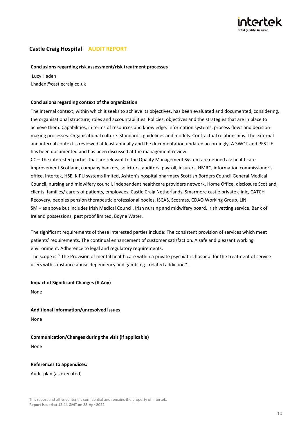

#### **Conclusions regarding risk assessment/risk treatment processes**

 Lucy Haden l.haden@castlecraig.co.uk

#### **Conclusions regarding context of the organization**

The internal context, within which it seeks to achieve its objectives, has been evaluated and documented, considering, the organisational structure, roles and accountabilities. Policies, objectives and the strategies that are in place to achieve them. Capabilities, in terms of resources and knowledge. Information systems, process flows and decisionmaking processes. Organisational culture. Standards, guidelines and models. Contractual relationships. The external and internal context is reviewed at least annually and the documentation updated accordingly. A SWOT and PESTLE has been documented and has been discussed at the management review.

CC – The interested parties that are relevant to the Quality Management System are defined as: healthcare improvement Scotland, company bankers, solicitors, auditors, payroll, insurers, HMRC, information commissioner's office, Intertek, HSE, KIPU systems limited, Ashton's hospital pharmacy Scottish Borders Council General Medical Council, nursing and midwifery council, independent healthcare providers network, Home Office, disclosure Scotland, clients, families/ carers of patients, employees, Castle Craig Netherlands, Smarmore castle private clinic, CATCH Recovery, peoples pension therapeutic professional bodies, ISCAS, Scotmas, CDAO Working Group, LIN. SM – as above but includes Irish Medical Council, Irish nursing and midwifery board, Irish vetting service, Bank of Ireland possessions, pest proof limited, Boyne Water.

The significant requirements of these interested parties include: The consistent provision of services which meet patients' requirements. The continual enhancement of customer satisfaction. A safe and pleasant working environment. Adherence to legal and regulatory requirements.

The scope is '' The Provision of mental health care within a private psychiatric hospital for the treatment of service users with substance abuse dependency and gambling - related addiction''.

**Impact of Significant Changes (If Any)**

None

**Additional information/unresolved issues** None

**Communication/Changes during the visit (if applicable)** None

**References to appendices:**

Audit plan (as executed)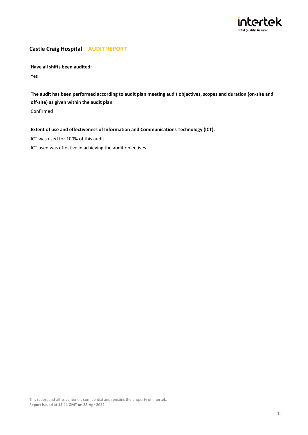

**Have all shifts been audited:**

Yes

**The audit has been performed according to audit plan meeting audit objectives, scopes and duration (on-site and off-site) as given within the audit plan**

Confirmed

#### **Extent of use and effectiveness of Information and Communications Technology (ICT).**

ICT was used for 100% of this audit.

ICT used was effective in achieving the audit objectives.